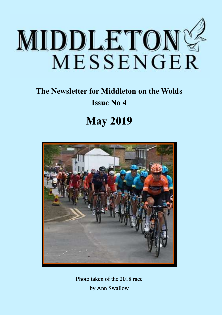

### **The Newsletter for Middleton on the Wolds Issue No 4**

## **May 2019**



Photo taken of the 2018 race by Ann Swallow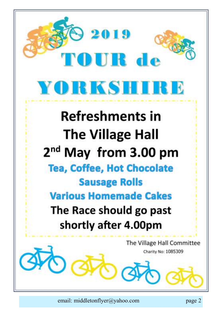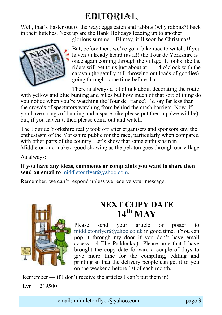## EDITORIAL

Well, that's Easter out of the way; eggs eaten and rabbits (why rabbits?) back in their hutches. Next up are the Bank Holidays leading up to another

glorious summer. Blimey, it'll soon be Christmas!



But, before then, we've got a bike race to watch. If you haven't already heard (as if!) the Tour de Yorkshire is once again coming through the village. It looks like the riders will get to us just about at  $\overline{4}$  o'clock with the caravan (hopefully still throwing out loads of goodies) going through some time before that.

There is always a lot of talk about decorating the route with yellow and blue bunting and bikes but how much of that sort of thing do you notice when you're watching the Tour de France? I'd say far less than the crowds of spectators watching from behind the crash barriers. Now, if you have strings of bunting and a spare bike please put them up (we will be) but, if you haven't, then please come out and watch.

The Tour de Yorkshire really took off after organisers and sponsors saw the enthusiasm of the Yorkshire public for the race, particularly when compared with other parts of the country. Let's show that same enthusiasm in Middleton and make a good showing as the peloton goes through our village.

As always:

**If you have any ideas, comments or complaints you want to share then send an email to** [middletonflyer@yahoo.com.](mailto:middletonflyer@yahoo.com)

Remember, we can't respond unless we receive your message.



### **NEXT COPY DATE**  $14^{th}$  **MAV**

Please send your article or poster to middletonflyer@yahoo.co.uk in good time. (You can pop it through my door if you don't have email access - 4 The Paddocks.) Please note that I have brought the copy date forward a couple of days to give more time for the compiling, editing and printing so that the delivery people can get it to you on the weekend before 1st of each month.

Remember — if I don't receive the articles I can't put them in!

Lyn 219500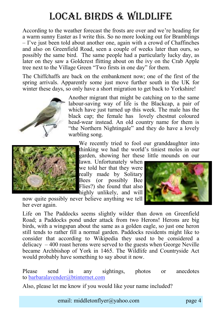## Local Birds & wildlife

According to the weather forecast the frosts are over and we're heading for a warm sunny Easter as I write this. So no more looking out for Bramblings – I've just been told about another one, again with a crowd of Chaffinches and also on Greenfield Road, seen a couple of weeks later than ours, so possibly the same bird. The same people had a particularly lucky day, as later on they saw a Goldcrest flitting about on the ivy on the Crab Apple tree next to the Village Green "Two firsts in one day" for them.

The Chiffchaffs are back on the embankment now; one of the first of the spring arrivals. Apparently some just move further south in the UK for winter these days, so only have a short migration to get back to Yorkshire!







We recently tried to fool our granddaughter into thinking we had the world's tiniest moles in our garden, showing her these little mounds on our

lawn. Unfortunately when we told her that they were really made by Solitary Bees (or possibly Bee Flies?) she found that also highly unlikely, and will



her ever again. Life on The Paddocks seems slightly wilder than down on Greenfield

Road; a Paddocks pond under attack from two Herons! Herons are big birds, with a wingspan about the same as a golden eagle, so just one heron still tends to rather fill a normal garden. Paddocks residents might like to consider that according to Wikipedia they used to be considered a delicacy  $-400$  roast herons were served to the guests when George Neville became Archbishop of York in 1465. The Wildlife and Countryside Act would probably have something to say about it now.

Please send in any sightings, photos or anecdotes to [barbaralavender@btinternet.com](mailto:barbaralavender@btinternet.com)

Also, please let me know if you would like your name included?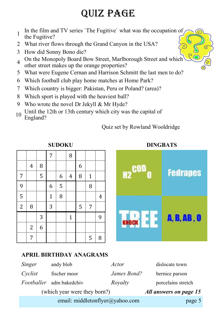## QUIZ PAGE

- 1 In the film and TV series `The Fugitive` what was the occupation of
- the Fugitive?
- 2 What river flows through the Grand Canyon in the USA?
- 3 How did Sonny Bono die?
- 4 On the Monopoly Board Bow Street, Marlborough Street and which other street makes up the orange properties?
- 5 What were Eugene Cernan and Harrison Schmitt the last men to do?
- 6 Which football club play home matches at Home Park?
- 7 Which country is bigger: Pakistan, Peru or Poland? (area)?
- 8 Which sport is played with the heaviest ball?
- 9 Who wrote the novel Dr Jekyll & Mr Hyde?
- 10 Until the 12th or 13th century which city was the capital of England?

Quiz set by Rowland Wooldridge

**SUDOKU**



### **APRIL BIRTHDAY ANAGRAMS**

|            | email: middletonflyer@yahoo.com | page 5                 |                    |
|------------|---------------------------------|------------------------|--------------------|
|            | (which year were they born?)    | All answers on page 15 |                    |
| Footballer | adm bakedchiv                   | Royalty                | porcelains stretch |
| Cyclist    | fischer moor                    | James Bond?            | bernice parson     |
| Singer     | andy blob                       | Actor                  | dislocate town     |

#### **DINGBATS**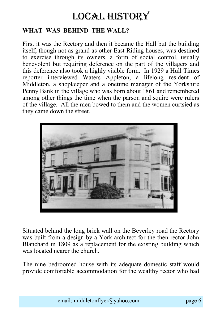### LOCAL HISTORY

### **WHAT WAS BEHIND THE WALL?**

First it was the Rectory and then it became the Hall but the building itself, though not as grand as other East Riding houses, was destined to exercise through its owners, a form of social control, usually benevolent but requiring deference on the part of the villagers and this deference also took a highly visible form. In 1929 a Hull Times reporter interviewed Waters Appleton, a lifelong resident of Middleton, a shopkeeper and a onetime manager of the Yorkshire Penny Bank in the village who was born about 1861 and remembered among other things the time when the parson and squire were rulers of the village. All the men bowed to them and the women curtsied as they came down the street.



Situated behind the long brick wall on the Beverley road the Rectory was built from a design by a York architect for the then rector John Blanchard in 1809 as a replacement for the existing building which was located nearer the church.

The nine bedroomed house with its adequate domestic staff would provide comfortable accommodation for the wealthy rector who had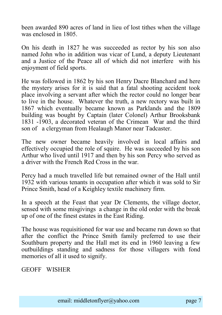been awarded 890 acres of land in lieu of lost tithes when the village was enclosed in 1805.

On his death in 1827 he was succeeded as rector by his son also named John who in addition was vicar of Lund, a deputy Lieutenant and a Justice of the Peace all of which did not interfere with his enjoyment of field sports.

He was followed in 1862 by his son Henry Dacre Blanchard and here the mystery arises for it is said that a fatal shooting accident took place involving a servant after which the rector could no longer bear to live in the house. Whatever the truth, a new rectory was built in 1867 which eventually became known as Parklands and the 1809 building was bought by Captain (later Colonel) Arthur Brooksbank 1831 -1903, a decorated veteran of the Crimean War and the third son of a clergyman from Healaugh Manor near Tadcaster.

The new owner became heavily involved in local affairs and effectively occupied the role of squire. He was succeeded by his son Arthur who lived until 1917 and then by his son Percy who served as a driver with the French Red Cross in the war.

Percy had a much travelled life but remained owner of the Hall until 1932 with various tenants in occupation after which it was sold to Sir Prince Smith, head of a Keighley textile machinery firm.

In a speech at the Feast that year Dr Clements, the village doctor, sensed with some misgivings a change in the old order with the break up of one of the finest estates in the East Riding.

The house was requisitioned for war use and became run down so that after the conflict the Prince Smith family preferred to use their Southburn property and the Hall met its end in 1960 leaving a few outbuildings standing and sadness for those villagers with fond memories of all it used to signify.

GEOFF WISHER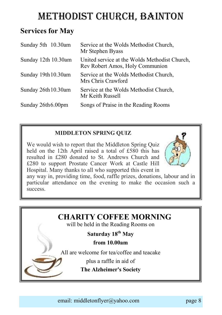### METHODIST CHURCH, BAINTON

### **Services for May**

| Sunday 5th 10.30am  | Service at the Wolds Methodist Church,<br>Mr Stephen Byass                       |
|---------------------|----------------------------------------------------------------------------------|
| Sunday 12th 10.30am | United service at the Wolds Methodist Church,<br>Rev Robert Amos, Holy Communion |
| Sunday 19th 10.30am | Service at the Wolds Methodist Church,<br>Mrs Chris Crawford                     |
| Sunday 26th 10.30am | Service at the Wolds Methodist Church,<br>Mr Keith Russell                       |
| Sunday 26th 6.00pm  | Songs of Praise in the Reading Rooms                                             |

### **MIDDLETON SPRING QUIZ**

We would wish to report that the Middleton Spring Quiz held on the 12th April raised a total of £580 this has resulted in £280 donated to St. Andrews Church and £280 to support Prostate Cancer Work at Castle Hill Hospital. Many thanks to all who supported this event in



any way in, providing time, food, raffle prizes, donations, labour and in particular attendance on the evening to make the occasion such a success.

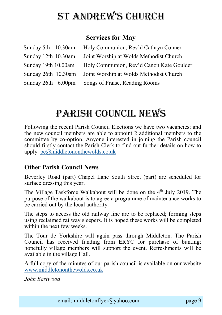## St Andrew'S church

### **Services for May**

|                     | Sunday 5th 10.30am Holy Communion, Rev'd Cathryn Conner     |
|---------------------|-------------------------------------------------------------|
| Sunday 12th 10.30am | Joint Worship at Wolds Methodist Church                     |
| Sunday 19th 10.00am | Holy Communion, Rev'd Canon Kate Goulder                    |
|                     | Sunday 26th 10.30am Joint Worship at Wolds Methodist Church |
| Sunday 26th 6.00pm  | Songs of Praise, Reading Rooms                              |

### Parish council NEWS

Following the recent Parish Council Elections we have two vacancies; and the new council members are able to appoint 2 additional members to the committee by co-option. Anyone interested in joining the Parish council should firstly contact the Parish Clerk to find out further details on how to apply. [pc@middletononthewolds.co.uk](mailto:pc@middletononthewolds.co.uk)

#### **Other Parish Council News**

Beverley Road (part) Chapel Lane South Street (part) are scheduled for surface dressing this year.

The Village Taskforce Walkabout will be done on the  $4<sup>th</sup>$  July 2019. The purpose of the walkabout is to agree a programme of maintenance works to be carried out by the local authority.

The steps to access the old railway line are to be replaced; forming steps using reclaimed railway sleepers. It is hoped these works will be completed within the next few weeks.

The Tour de Yorkshire will again pass through Middleton. The Parish Council has received funding from ERYC for purchase of bunting; hopefully village members will support the event. Refreshments will be available in the village Hall.

A full copy of the minutes of our parish council is available on our website [www.middletononthewolds.co.uk](http://www.middletononthewolds.co.uk)

*John Eastwood*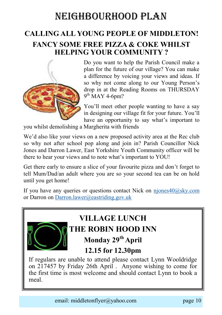### Neighbourhood Plan

### **CALLING ALL YOUNG PEOPLE OF MIDDLETON! FANCY SOME FREE PIZZA & COKE WHILST HELPING YOUR COMMUNITY ?**



Do you want to help the Parish Council make a plan for the future of our village? You can make a difference by voicing your views and ideas. If so why not come along to our Young Person's drop in at the Reading Rooms on THURSDAY  $9<sup>th</sup>$  MAY 4-6pm?

You'll meet other people wanting to have a say in designing our village fit for your future. You'll have an opportunity to say what's important to

you whilst demolishing a Margherita with friends

We'd also like your views on a new proposed activity area at the Rec club so why not after school pop along and join in? Parish Councillor Nick Jones and Darron Lawer, East Yorkshire Youth Community officer will be there to hear your views and to note what's important to YOU!

Get there early to ensure a slice of your favourite pizza and don't forget to tell Mum/Dad/an adult where you are so your second tea can be on hold until you get home!

If you have any queries or questions contact Nick on njones $40@\text{sky.com}$ or Darron on [Darron.lawer@eastriding.gov.uk](mailto:Darron.lawer@eastriding.gov.uk)



## **VILLAGE LUNCH THE ROBIN HOOD INN**

**Monday 29th April** 

### **12.15 for 12.30pm**

If regulars are unable to attend please contact Lynn Wooldridge on 217457 by Friday 26th April . Anyone wishing to come for the first time is most welcome and should contact Lynn to book a meal.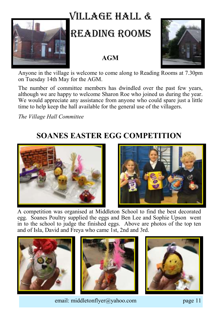## Village hall &

## READING ROOMS

### **AGM**



Anyone in the village is welcome to come along to Reading Rooms at 7.30pm on Tuesday 14th May for the AGM.

The number of committee members has dwindled over the past few years, although we are happy to welcome Sharon Roe who joined us during the year. We would appreciate any assistance from anyone who could spare just a little time to help keep the hall available for the general use of the villagers.

*The Village Hall Committee*

### **SOANES EASTER EGG COMPETITION**





A competition was organised at Middleton School to find the best decorated egg. Soanes Poultry supplied the eggs and Ben Lee and Sophie Upson went in to the school to judge the finished eggs. Above are photos of the top ten and of Isla, David and Freya who came 1st, 2nd and 3rd.







email: middletonflyer@yahoo.com page 11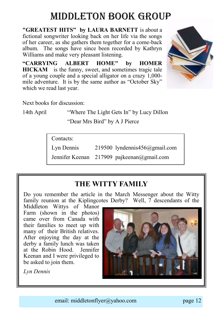## Middleton book group

**"GREATEST HITS" by LAURA BARNETT** is about a fictional songwriter looking back on her life via the songs of her career, as she gathers them together for a come-back album. The songs have since been recorded by Kathryn Williams and make very pleasant listening.

**"CARRYING ALBERT HOME" by HOMER HICKAM** is the funny, sweet, and sometimes tragic tale of a young couple and a special alligator on a crazy 1,000 mile adventure. It is by the same author as "October Sky" which we read last year.



Next books for discussion:

14th April "Where The Light Gets In" by Lucy Dillon "Dear Mrs Bird" by A J Pierce

Contacts:

Lyn Dennis 219500 lyndennis456@gmail.com

Jennifer Keenan 217909 pajkeenan@gmail.com

### **THE WITTY FAMILY**

Do you remember the article in the March Messenger about the Witty family reunion at the Kiplingcotes Derby? Well, 7 descendants of the

Middleton Wittys of Manor Farm (shown in the photos) came over from Canada with their families to meet up with many of their British relatives. After enjoying the day at the derby a family lunch was taken at the Robin Hood. Jennifer Keenan and I were privileged to be asked to join them.



*Lyn Dennis*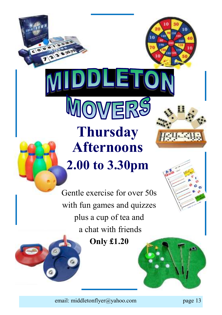# **Thursday Afternoons 2.00 to 3.30pm**

DIEE

OWER

Gentle exercise for over 50s with fun games and quizzes plus a cup of tea and a chat with friends

**Only £1.20**



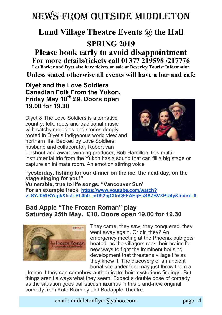## NEWS FROM OUTSIDE MIDDLETON

### **Lund Village Theatre Events @ the Hall**

### **SPRING 2019**

#### **Please book early to avoid disappointment For more details/tickets call 01377 219598 /217776 Les Barker and Dyet also have tickets on sale at Beverley Tourist Information**

**Unless stated otherwise all events will have a bar and cafe**

**Diyet and the Love Soldiers Canadian Folk From the Yukon, Friday May 10th £9. Doors open 19.00 for 19.30**

Diyet & The Love Soldiers is alternative country, folk, roots and traditional music with catchy melodies and stories deeply rooted in Diyet's Indigenous world view and northern life. Backed by Love Soldiers: husband and collaborator, Robert van



Lieshout and award-winning producer, Bob Hamilton; this multiinstrumental trio from the Yukon has a sound that can fill a big stage or capture an intimate room. An emotion stirring voice

**"yesterday, fishing for our dinner on the ice, the next day, on the stage singing for you!" Vulnerable, true to life songs. "Vancouver Sun" For an example track [https://www.youtube.com/watch?](https://www.youtube.com/watch?v=SYJ0RfBYapk&list=PL4h0_mD92njCtfoQEFAEqEsSA7BVXPU4y&index=8) [v=SYJ0RfBYapk&list=PL4h0\\_mD92njCtfoQEFAEqEsSA7BVXPU4y&index=8](https://www.youtube.com/watch?v=SYJ0RfBYapk&list=PL4h0_mD92njCtfoQEFAEqEsSA7BVXPU4y&index=8)**

### **Bad Apple "The Frozen Roman" play Saturday 25th May. £10. Doors open 19.00 for 19.30**



They came, they saw, they conquered, they went away again. Or did they? An emergency meeting at the Phoenix pub gets heated, as the villagers rack their brains for new ways to fight the imminent housing development that threatens village life as they know it. The discovery of an ancient burial site under foot may just throw them a

lifetime if they can somehow authenticate their mysterious findings. But things aren't always what they seem! Expect a double dose of comedy as the situation goes ballisticus maximus in this brand-new original comedy from Kate Bramley and Badapple Theatre.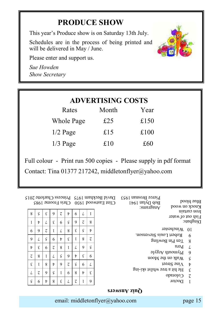### **PRODUCE SHOW**

This year's Produce show is on Saturday 13th July.

Schedules are in the process of being printed and will be delivered in May / June.



Please enter and support us.

*Sue Howden Show Secretary*

|            | <b>ADVERTISING COSTS</b> |      |  |  |  |  |
|------------|--------------------------|------|--|--|--|--|
| Rates      | Month                    | Year |  |  |  |  |
| Whole Page | £25                      | £150 |  |  |  |  |
| $1/2$ Page | £15                      | £100 |  |  |  |  |
| $1/3$ Page | £10                      | £60  |  |  |  |  |
|            |                          |      |  |  |  |  |

Full colour - Print run 500 copies - Please supply in pdf format Contact: Tina 01377 217242, middletonflyer@yahoo.com

| Blue blood<br>роом ио урои |                                          | Pierce Brosnan 1953<br>Bob Dylan $1941$<br>:emsrganA | Clint Eastwood 1930 Chris Froome 1985 |  |                | David Beckham 1975 Princess Charlotte 2015 |               |                       |   |             |    |   |
|----------------------------|------------------------------------------|------------------------------------------------------|---------------------------------------|--|----------------|--------------------------------------------|---------------|-----------------------|---|-------------|----|---|
| lron curtain               |                                          |                                                      |                                       |  |                | 6                                          | $\frac{1}{2}$ | $\mathcal{L}_{0}^{2}$ | 9 | £           | ς  | 8 |
|                            | Fish out of water                        |                                                      |                                       |  |                |                                            |               |                       |   |             |    |   |
| $2.318$ dgni $\Omega$      |                                          |                                                      | 8                                     |  | $\overline{c}$ | 9                                          | ς             | 6                     | ε |             | t  | I |
| 0 <sup>I</sup>             | Winchester                               |                                                      | t                                     |  | ς              | E                                          | 8             |                       |   | τ           | 9  | 6 |
| 6                          |                                          | Robert Louis Stevenson.                              |                                       |  |                |                                            |               |                       |   |             |    |   |
|                            |                                          |                                                      | τ                                     |  | 8              |                                            | ε             | t                     | 6 | $\varsigma$ |    | 9 |
| 8                          | Ten Pin Bowling                          |                                                      |                                       |  |                |                                            |               |                       |   |             |    |   |
| $\prime$                   | Peru                                     |                                                      | ς                                     |  | 9              |                                            | I             | 8                     | τ | 6           | ε  | t |
| 9                          | $\mathcal{L}_{\text{M}}$ plymourl Argyle |                                                      |                                       |  |                |                                            |               |                       |   |             |    |   |
| $\varsigma$                | Walk on the Moon                         |                                                      | 6                                     |  | ε              | t                                          | 9             | ς                     |   |             | 8  | τ |
| t                          | 19911S 9щV                               |                                                      |                                       |  | 6              | ς                                          | τ             | 9                     | t | 8           |    | ε |
| $\epsilon$                 |                                          | He hit a tree whilst ski-ing                         |                                       |  |                |                                            |               |                       |   |             |    |   |
|                            |                                          |                                                      | ε                                     |  | t              | 8                                          | 6             |                       | ς | 9           | 7. | L |
| $\overline{c}$             | Colorado                                 |                                                      |                                       |  |                |                                            |               |                       |   |             |    |   |
| T                          | <b>Doctor</b>                            |                                                      | 9                                     |  |                |                                            |               | ε                     | 8 | t           | 6  | ς |
|                            |                                          |                                                      |                                       |  |                |                                            |               |                       |   |             |    |   |

#### **Quiz Answers**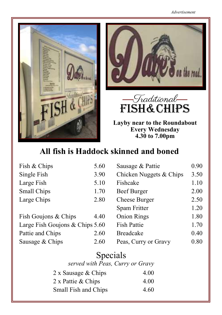





**Layby near to the Roundabout Every Wednesday 4.30 to 7.00pm**

### **All fish is Haddock skinned and boned**

| Fish & Chips                    | 5.60 | Sausage & Pattie        | 0.90 |
|---------------------------------|------|-------------------------|------|
| Single Fish                     | 3.90 | Chicken Nuggets & Chips | 3.50 |
| Large Fish                      | 5.10 | Fishcake                | 1.10 |
| Small Chips                     | 1.70 | Beef Burger             | 2.00 |
| Large Chips                     | 2.80 | <b>Cheese Burger</b>    | 2.50 |
|                                 |      | Spam Fritter            | 1.20 |
| Fish Goujons & Chips            | 4.40 | <b>Onion Rings</b>      | 1.80 |
| Large Fish Goujons & Chips 5.60 |      | <b>Fish Pattie</b>      | 1.70 |
| Pattie and Chips                | 2.60 | <b>Breadcake</b>        | 0.40 |
| Sausage & Chips                 | 2.60 | Peas, Curry or Gravy    | 0.80 |

| Specials<br>served with Peas, Curry or Gravy |      |
|----------------------------------------------|------|
| 2 x Sausage & Chips                          | 4.00 |
| 2 x Pattie & Chips                           | 4.00 |
| Small Fish and Chips                         | 4.60 |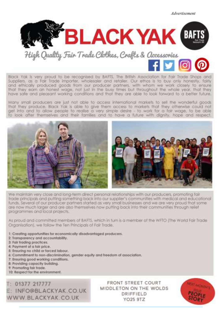*Advertisement*



Black Yak is very proud to be recognised by BAFTS. The British Association for Fair Trade Shaps and Suppliers, as a fair Trade importer, wholesaler and retailer. Our ethos is to buy only honestly, fairly and ethically produced goods from our producer partners, with wham we work closely to ensure that they earn an honest wage, not just in the busy times but throughout the whole year, that they have safe and pleasant working conditions and that they are able to look forward to a better future.

Many small producers are just not able to access international markets to sell the wonderful goods that they produce. Black Yak is able to give them access to markets that they otherwise could not get into and to allow people to realise a very simple desire - to work for a fair wage, to be able<br>to look after themselves and their families and to have a future with dignity, hope and respect.



We maintain very close and long-term direct personal relationships with our producers, promoting fair trade principals and putting something back into our supplier's communities with medical and educational funds. Several of our producer partners started as very small businesses and we are very proud that some are now much larger and are also themselves now putting back into their communities through relief programmes and local projects.

As proud and committed members of BAFTS, which in furn is a member of the WFTO IThe World Fair Trade Organisation), we follow the Ten Principals of Fair Trade.

- 1: Creating opportunities for economically disadvantaged producers.
- 2: Transparency and accountability.
- 3: Fair frading practices.
- 4: Payment of a fair price.
- 5: Ensuring no child or forced labour.
- 6: Commitment to non-discrimination, gender equity and freedom of association.
- 7: Ensuring good working conditions.
- 8: Providing capacity building.
- 9: Promoting fair trade.
- 10: Respect for the environment.

 $: 01377 217777$ E: INFO@BLACKYAK.CO.UK

**FRONT STREET COURT** MIDDLETON ON THE WOLDS DRIFFIELD email: middleton page 172

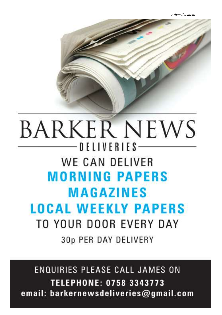## **BARKER NEWS**  $-$  D F L I V F R I F S  $-$ WE CAN DELIVER **MORNING PAPERS MAGAZINES LOCAL WEEKLY PAPERS** TO YOUR DOOR EVERY DAY 30p PER DAY DELIVERY

**ENQUIRIES PLEASE CALL JAMES ON TELEPHONE: 0758 3343773** email: barkernewsdeliveries@gmail.com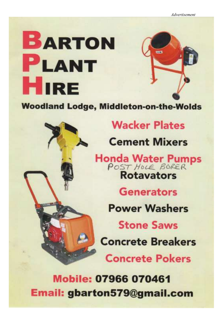

**Woodland Lodge, Middleton-on-the-Wolds** 



## **Wacker Plates**

**Cement Mixers** 

Honda Water Pumps **Rotavators** 

**Generators** 

**Power Washers** 

**Stone Saws Concrete Breakers** 

**Concrete Pokers** 

Mobile: 07966 070461 email: middletonflyer@yahoo.com page 19